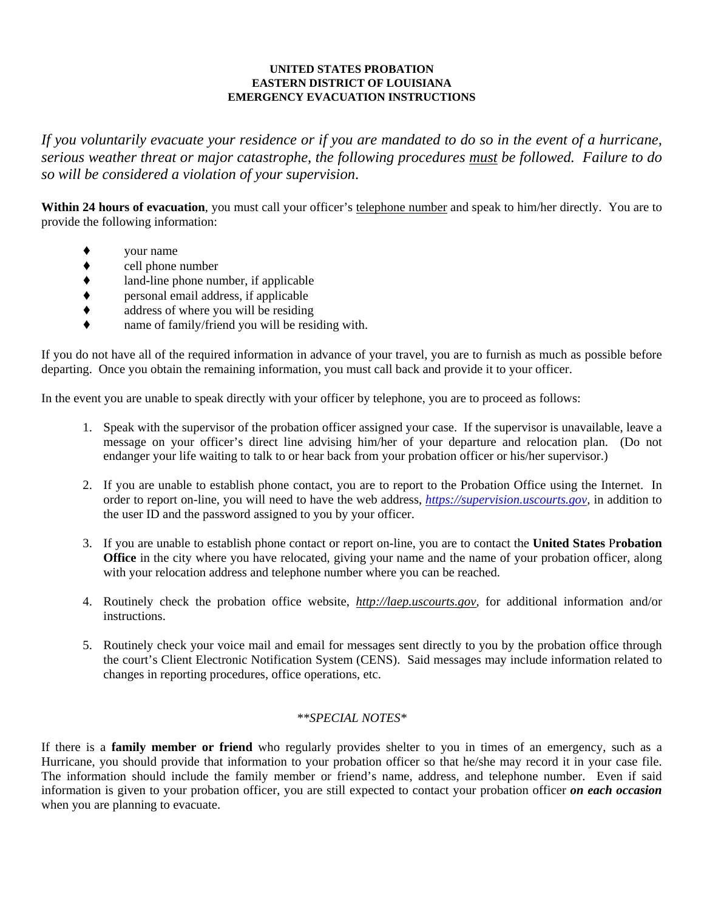## **UNITED STATES PROBATION EASTERN DISTRICT OF LOUISIANA EMERGENCY EVACUATION INSTRUCTIONS**

*If you voluntarily evacuate your residence or if you are mandated to do so in the event of a hurricane, serious weather threat or major catastrophe, the following procedures must be followed. Failure to do so will be considered a violation of your supervision*.

Within 24 hours of evacuation, you must call your officer's telephone number and speak to him/her directly. You are to provide the following information:

- ' your name
- $\bullet$  cell phone number<br> $\bullet$  land-line phone number
- ◆ land-line phone number, if applicable<br>◆ personal email address, if applicable
- ' personal email address, if applicable
- $\bullet$  address of where you will be residing
- name of family/friend you will be residing with.

If you do not have all of the required information in advance of your travel, you are to furnish as much as possible before departing. Once you obtain the remaining information, you must call back and provide it to your officer.

In the event you are unable to speak directly with your officer by telephone, you are to proceed as follows:

- 1. Speak with the supervisor of the probation officer assigned your case. If the supervisor is unavailable, leave a message on your officer's direct line advising him/her of your departure and relocation plan. (Do not endanger your life waiting to talk to or hear back from your probation officer or his/her supervisor.)
- 2. If you are unable to establish phone contact, you are to report to the Probation Office using the Internet. In order to report on-line, you will need to have the web address, *https://supervision.uscourts.gov,* in addition to the user ID and the password assigned to you by your officer.
- 3. If you are unable to establish phone contact or report on-line, you are to contact the **United States** P**robation Office** in the city where you have relocated, giving your name and the name of your probation officer, along with your relocation address and telephone number where you can be reached.
- 4. Routinely check the probation office website, *http://laep.uscourts.gov,* for additional information and/or instructions.
- 5. Routinely check your voice mail and email for messages sent directly to you by the probation office through the court's Client Electronic Notification System (CENS). Said messages may include information related to changes in reporting procedures, office operations, etc.

## *\*\*SPECIAL NOTES\**

If there is a **family member or friend** who regularly provides shelter to you in times of an emergency, such as a Hurricane, you should provide that information to your probation officer so that he/she may record it in your case file. The information should include the family member or friend's name, address, and telephone number. Even if said information is given to your probation officer, you are still expected to contact your probation officer *on each occasion*  when you are planning to evacuate.